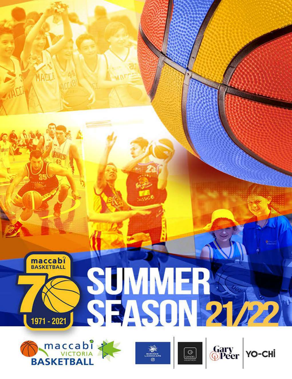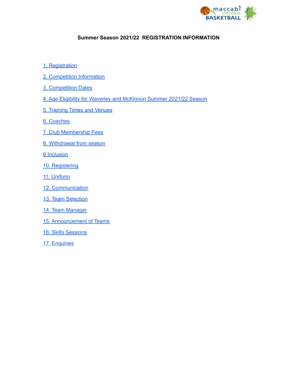

### **Summer Season 2021/22 REGISTRATION INFORMATION**

- 1. [Registration](#page-2-0)
- 2. Competition Information
- 3. Competition Dates
- 4. Age Eligibility for Waverley and McKinnon Summer 2021/22 Season
- 5. Training Times and Venues
- 6. Coaches
- 7. Club Membership Fees
- 8. Withdrawal from season
- 9 Inclusion
- 10. Registering
- 11. Uniform
- 1[2.](#page-8-0) Communication
- 13. Team [Selection](#page-10-0)
- 14. Team Manager
- 15. Announcement of Teams
- 16. Skills Sessions
- 17. [Enquiries](#page-11-0)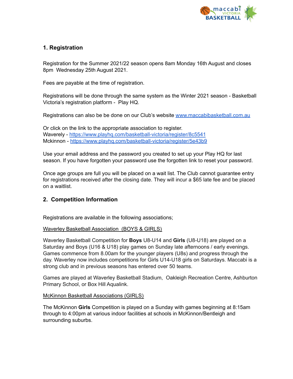

# <span id="page-2-0"></span>**1. Registration**

Registration for the Summer 2021/22 season opens 8am Monday 16th August and closes 8pm Wednesday 25th August 2021.

Fees are payable at the time of registration.

Registrations will be done through the same system as the Winter 2021 season - Basketball Victoria's registration platform - Play HQ.

Registrations can also be be done on our Club's website [www.maccabibasketball.com.au](http://www.maccabibasketball.com.au)

Or click on the link to the appropriate association to register. Waverely - <https://www.playhq.com/basketball-victoria/register/8c5541> Mckinnon - <https://www.playhq.com/basketball-victoria/register/5e43b9>

Use your email address and the password you created to set up your Play HQ for last season. If you have forgotten your password use the forgotten link to reset your password.

Once age groups are full you will be placed on a wait list. The Club cannot guarantee entry for registrations received after the closing date. They will incur a \$65 late fee and be placed on a waitlist.

### **2. Competition Information**

Registrations are available in the following associations;

### Waverley Basketball Association (BOYS & GIRLS)

Waverley Basketball Competition for **Boys** U8-U14 and **Girls** (U8-U18) are played on a Saturday and Boys (U16 & U18) play games on Sunday late afternoons / early evenings. Games commence from 8.00am for the younger players (U8s) and progress through the day. Waverley now includes competitions for Girls U14-U18 girls on Saturdays. Maccabi is a strong club and in previous seasons has entered over 50 teams.

Games are played at Waverley Basketball Stadium, Oakleigh Recreation Centre, Ashburton Primary School, or Box Hill Aqualink.

### McKinnon Basketball Associations (GIRLS)

The McKinnon **Girls** Competition is played on a Sunday with games beginning at 8:15am through to 4:00pm at various indoor facilities at schools in McKinnon/Bentleigh and surrounding suburbs.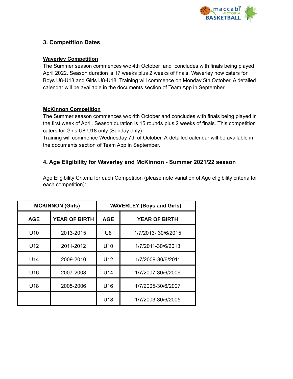

# **3. Competition Dates**

### **Waverley Competition**

The Summer season commences w/c 4th October and concludes with finals being played April 2022. Season duration is 17 weeks plus 2 weeks of finals. Waverley now caters for Boys U8-U18 and Girls U8-U18. Training will commence on Monday 5th October. A detailed calendar will be available in the documents section of Team App in September.

## **McKinnon Competition**

The Summer season commences w/c 4th October and concludes with finals being played in the first week of April. Season duration is 15 rounds plus 2 weeks of finals. This competition caters for Girls U8-U18 only (Sunday only).

Training will commence Wednesday 7th of October. A detailed calendar will be available in the documents section of Team App in September.

## **4. Age Eligibility for Waverley and McKinnon - Summer 2021/22 season**

Age Eligibility Criteria for each Competition (please note variation of Age eligibility criteria for each competition):

| <b>MCKINNON (Girls)</b> |                      | <b>WAVERLEY (Boys and Girls)</b> |                      |
|-------------------------|----------------------|----------------------------------|----------------------|
| <b>AGE</b>              | <b>YEAR OF BIRTH</b> | <b>AGE</b>                       | <b>YEAR OF BIRTH</b> |
| U <sub>10</sub>         | 2013-2015            | U <sub>8</sub>                   | 1/7/2013-30/6/2015   |
| U12                     | 2011-2012            | U <sub>10</sub>                  | 1/7/2011-30/6/2013   |
| U14                     | 2009-2010            | U12                              | 1/7/2009-30/6/2011   |
| U16                     | 2007-2008            | U14                              | 1/7/2007-30/6/2009   |
| U18                     | 2005-2006            | U16                              | 1/7/2005-30/6/2007   |
|                         |                      | U18                              | 1/7/2003-30/6/2005   |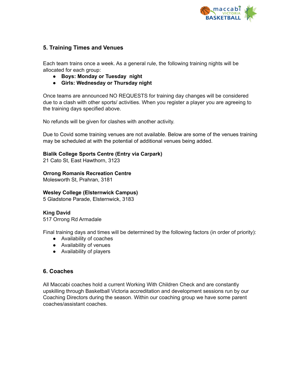

## **5. Training Times and Venues**

Each team trains once a week. As a general rule, the following training nights will be allocated for each group:

- **● Boys: Monday or Tuesday night**
- **● Girls: Wednesday or Thursday night**

Once teams are announced NO REQUESTS for training day changes will be considered due to a clash with other sports/ activities. When you register a player you are agreeing to the training days specified above.

No refunds will be given for clashes with another activity.

Due to Covid some training venues are not available. Below are some of the venues training may be scheduled at with the potential of additional venues being added.

### **Bialik College Sports Centre (Entry via Carpark)**

21 Cato St, East Hawthorn, 3123

### **Orrong Romanis Recreation Centre**

Molesworth St, Prahran, 3181

### **Wesley College (Elsternwick Campus)**

5 Gladstone Parade, Elsternwick, 3183

### **King David**

517 Orrong Rd Armadale

Final training days and times will be determined by the following factors (in order of priority):

- Availability of coaches
- Availability of venues
- Availability of players

### **6. Coaches**

All Maccabi coaches hold a current Working With Children Check and are constantly upskilling through Basketball Victoria accreditation and development sessions run by our Coaching Directors during the season. Within our coaching group we have some parent coaches/assistant coaches.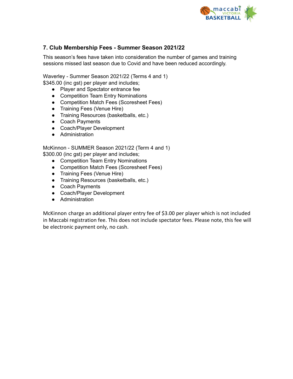

# **7. Club Membership Fees - Summer Season 2021/22**

This season's fees have taken into consideration the number of games and training sessions missed last season due to Covid and have been reduced accordingly.

Waverley - Summer Season 2021/22 (Terms 4 and 1) \$345.00 (inc gst) per player and includes;

- Player and Spectator entrance fee
- Competition Team Entry Nominations
- Competition Match Fees (Scoresheet Fees)
- Training Fees (Venue Hire)
- Training Resources (basketballs, etc.)
- Coach Payments
- Coach/Player Development
- Administration

McKinnon - SUMMER Season 2021/22 (Term 4 and 1) \$300.00 (inc gst) per player and includes;

- Competition Team Entry Nominations
- Competition Match Fees (Scoresheet Fees)
- Training Fees (Venue Hire)
- Training Resources (basketballs, etc.)
- Coach Payments
- Coach/Player Development
- Administration

McKinnon charge an additional player entry fee of \$3.00 per player which is not included in Maccabi registration fee. This does not include spectator fees. Please note, this fee will be electronic payment only, no cash.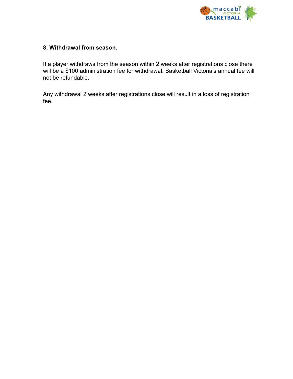

## **8. Withdrawal from season.**

If a player withdraws from the season within 2 weeks after registrations close there will be a \$100 administration fee for withdrawal. Basketball Victoria's annual fee will not be refundable.

Any withdrawal 2 weeks after registrations close will result in a loss of registration fee.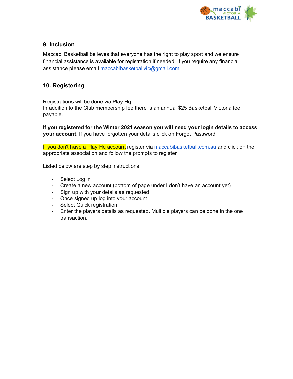

# **9. Inclusion**

Maccabi Basketball believes that everyone has the right to play sport and we ensure financial assistance is available for registration if needed. If you require any financial assistance please email [maccabibasketballvic@gmail.com](mailto:maccabibasketballvic@gmail.com)

# **10. Registering**

Registrations will be done via Play Hq.

In addition to the Club membership fee there is an annual \$25 Basketball Victoria fee payable.

**If you registered for the Winter 2021 season you will need your login details to access your account**. If you have forgotten your details click on Forgot Password.

If you don't have a Play Hq account register via [maccabibasketball.com.au](https://www.maccabibasketball.com.au/registration-2021) and click on the appropriate association and follow the prompts to register.

Listed below are step by step instructions

- Select Log in
- Create a new account (bottom of page under I don't have an account yet)
- Sign up with your details as requested
- Once signed up log into your account
- Select Quick registration
- Enter the players details as requested. Multiple players can be done in the one transaction.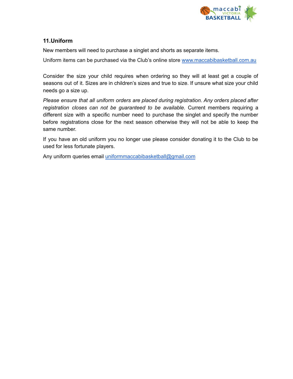

## <span id="page-8-0"></span>**11.Uniform**

New members will need to purchase a singlet and shorts as separate items.

Uniform items can be purchased via the Club's online store [www.maccabibasketball.com.au](http://www.maccabibasketball.com.au)

Consider the size your child requires when ordering so they will at least get a couple of seasons out of it. Sizes are in children's sizes and true to size. If unsure what size your child needs go a size up.

*Please ensure that all uniform orders are placed during registration. Any orders placed after registration closes can not be guaranteed to be available.* Current members requiring a different size with a specific number need to purchase the singlet and specify the number before registrations close for the next season otherwise they will not be able to keep the same number.

If you have an old uniform you no longer use please consider donating it to the Club to be used for less fortunate players.

Any uniform queries email [uniformmaccabibasketball@gmail.com](mailto:uniformmaccabibasketball@gmail.com)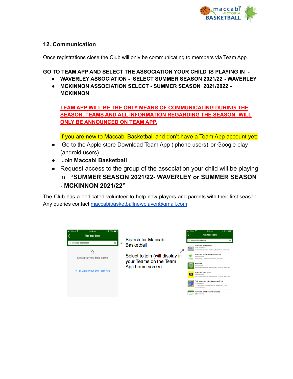

# **12. Communication**

Once registrations close the Club will only be communicating to members via Team App.

**GO TO TEAM APP AND SELECT THE ASSOCIATION YOUR CHILD IS PLAYING IN -**

- **● WAVERLEY ASSOCIATION - SELECT SUMMER SEASON 2021/22 - WAVERLEY**
- **● MCKINNON ASSOCIATION SELECT - SUMMER SEASON 2021/2022 - MCKINNON**

**TEAM APP WILL BE THE ONLY MEANS OF COMMUNICATING DURING THE SEASON. TEAMS AND ALL INFORMATION REGARDING THE SEASON WILL ONLY BE ANNOUNCED ON TEAM APP.**

If you are new to Maccabi Basketball and don't have a Team App account yet:

- Go to the Apple store Download Team App (iphone users) or Google play (android users)
- Join **Maccabi Basketball**
- Request access to the group of the association your child will be playing in **"SUMMER SEASON 2021/22- WAVERLEY or SUMMER SEASON - MCKINNON 2021/22"**

The Club has a dedicated volunteer to help new players and parents with their first season. Any queries contact [maccabibasketballnewplayer@gmail.com](mailto:maccabibasketballnewplayer@gmail.com)

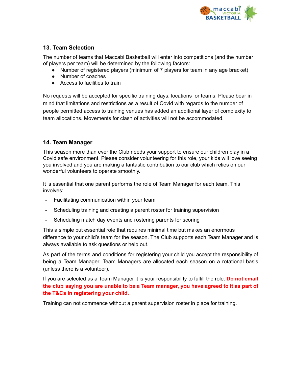

# <span id="page-10-0"></span>**13. Team Selection**

The number of teams that Maccabi Basketball will enter into competitions (and the number of players per team) will be determined by the following factors:

- Number of registered players (minimum of 7 players for team in any age bracket)
- Number of coaches
- Access to facilities to train

No requests will be accepted for specific training days, locations or teams. Please bear in mind that limitations and restrictions as a result of Covid with regards to the number of people permitted access to training venues has added an additional layer of complexity to team allocations. Movements for clash of activities will not be accommodated.

# **14. Team Manager**

This season more than ever the Club needs your support to ensure our children play in a Covid safe environment. Please consider volunteering for this role, your kids will love seeing you involved and you are making a fantastic contribution to our club which relies on our wonderful volunteers to operate smoothly.

It is essential that one parent performs the role of Team Manager for each team. This involves:

- Facilitating communication within your team
- Scheduling training and creating a parent roster for training supervision
- Scheduling match day events and rostering parents for scoring

This a simple but essential role that requires minimal time but makes an enormous difference to your child's team for the season. The Club supports each Team Manager and is always available to ask questions or help out.

As part of the terms and conditions for registering your child you accept the responsibility of being a Team Manager. Team Managers are allocated each season on a rotational basis (unless there is a volunteer).

If you are selected as a Team Manager it is your responsibility to fulfill the role. **Do not email the club saying you are unable to be a Team manager, you have agreed to it as part of the T&Cs in registering your child.**

Training can not commence without a parent supervision roster in place for training.